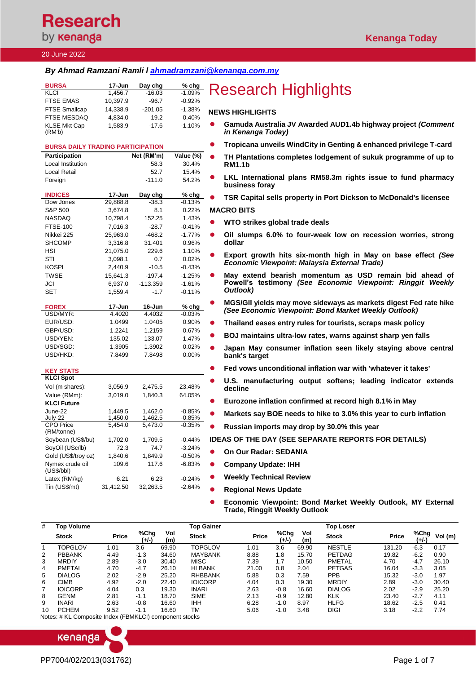# **Research** by **kenanga**

### 20 June 2022

### *By Ahmad Ramzani Ramli l [ahmadramzani@kenanga.com.my](mailto:tehky@kenanga.com.my)*

| <b>BURSA</b>                             | 17-Jun           | Day chg          | % chg             | <b>Research Highlights</b>                                                                          |
|------------------------------------------|------------------|------------------|-------------------|-----------------------------------------------------------------------------------------------------|
| <b>KLCI</b>                              | 1,456.7          | $-16.03$         | $-1.09%$          |                                                                                                     |
| <b>FTSE EMAS</b>                         | 10,397.9         | $-96.7$          | $-0.92%$          |                                                                                                     |
| <b>FTSE Smallcap</b>                     | 14,338.9         | $-201.05$        | $-1.38%$          | <b>NEWS HIGHLIGHTS</b>                                                                              |
| FTSE MESDAQ                              | 4,834.0          | 19.2             | 0.40%             |                                                                                                     |
| <b>KLSE Mkt Cap</b>                      | 1,583.9          | $-17.6$          | $-1.10%$          | Gamuda Australia JV Awarded AUD1.4b highway project (Comment                                        |
| (RM'b)                                   |                  |                  |                   | in Kenanga Today)                                                                                   |
| <b>BURSA DAILY TRADING PARTICIPATION</b> |                  |                  |                   | Tropicana unveils WindCity in Genting & enhanced privilege T-card                                   |
| <b>Participation</b>                     |                  | Net (RM'm)       | Value (%)         | $\bullet$<br>TH Plantations completes lodgement of sukuk programme of up to                         |
| Local Institution                        |                  | 58.3             | 30.4%             | <b>RM1.1b</b>                                                                                       |
| Local Retail                             |                  | 52.7             | 15.4%             | LKL International plans RM58.3m rights issue to fund pharmacy                                       |
| Foreign                                  |                  | $-111.0$         | 54.2%             | business foray                                                                                      |
| <b>INDICES</b>                           | 17-Jun           | Day chg          | % chg             |                                                                                                     |
| Dow Jones                                | 29,888.8         | $-38.3$          | $-0.13%$          | TSR Capital sells property in Port Dickson to McDonald's licensee                                   |
| S&P 500                                  | 3,674.8          | 8.1              | 0.22%             | <b>MACRO BITS</b>                                                                                   |
| NASDAQ                                   | 10,798.4         | 152.25           | 1.43%             |                                                                                                     |
| <b>FTSE-100</b>                          | 7,016.3          | $-28.7$          | $-0.41%$          | WTO strikes global trade deals                                                                      |
| Nikkei 225                               | 25,963.0         | $-468.2$         | $-1.77%$          | Oil slumps 6.0% to four-week low on recession worries, strong                                       |
| <b>SHCOMP</b>                            | 3,316.8          | 31.401           | 0.96%             | dollar                                                                                              |
| HSI                                      | 21,075.0         | 229.6            | 1.10%             |                                                                                                     |
| STI                                      | 3,098.1          | 0.7              | 0.02%             | Export growth hits six-month high in May on base effect (See                                        |
| KOSPI                                    | 2,440.9          | $-10.5$          | $-0.43%$          | <b>Economic Viewpoint: Malaysia External Trade)</b>                                                 |
| <b>TWSE</b>                              | 15,641.3         | $-197.4$         | $-1.25%$          | May extend bearish momentum as USD remain bid ahead of                                              |
| JCI                                      | 6,937.0          | $-113.359$       | $-1.61%$          | Powell's testimony (See Economic Viewpoint: Ringgit Weekly                                          |
| <b>SET</b>                               | 1.559.4          | $-1.7$           | $-0.11%$          | Outlook)                                                                                            |
|                                          |                  |                  |                   | MGS/GII yields may move sideways as markets digest Fed rate hike                                    |
| <b>FOREX</b><br>USD/MYR:                 | 17-Jun<br>4.4020 | 16-Jun<br>4.4032 | % chg<br>$-0.03%$ | (See Economic Viewpoint: Bond Market Weekly Outlook)                                                |
| EUR/USD:                                 | 1.0499           | 1.0405           | 0.90%             |                                                                                                     |
| GBP/USD:                                 | 1.2241           | 1.2159           | 0.67%             | Thailand eases entry rules for tourists, scraps mask policy                                         |
| USD/YEN:                                 | 135.02           | 133.07           | 1.47%             | BOJ maintains ultra-low rates, warns against sharp yen falls                                        |
| USD/SGD:                                 | 1.3905           | 1.3902           | 0.02%             |                                                                                                     |
| USD/HKD:                                 | 7.8499           | 7.8498           | 0.00%             | Japan May consumer inflation seen likely staying above central<br>bank's target                     |
|                                          |                  |                  |                   |                                                                                                     |
| <b>KEY STATS</b>                         |                  |                  |                   | Fed vows unconditional inflation war with 'whatever it takes'<br>$\bullet$                          |
| <b>KLCI Spot</b>                         |                  |                  |                   | U.S. manufacturing output softens; leading indicator extends                                        |
| Vol (m shares):                          | 3,056.9          | 2.475.5          | 23.48%            | decline                                                                                             |
| Value (RMm):                             | 3,019.0          | 1,840.3          | 64.05%            |                                                                                                     |
| <b>KLCI Future</b>                       |                  |                  |                   | Eurozone inflation confirmed at record high 8.1% in May                                             |
| June-22                                  | 1,449.5          | 1,462.0          | $-0.85%$          | Markets say BOE needs to hike to 3.0% this year to curb inflation                                   |
| July-22                                  | 1,450.0          | 1,462.5          | -0.85%            |                                                                                                     |
| <b>CPO Price</b><br>(RM/tonne)           | 5.454.0          | 5,473.0          | $-0.35%$          | Russian imports may drop by 30.0% this year                                                         |
| Soybean (US\$/bu)                        | 1,702.0          | 1,709.5          | $-0.44%$          | IDEAS OF THE DAY (SEE SEPARATE REPORTS FOR DETAILS)                                                 |
| SoyOil (USc/lb)                          | 72.3             | 74.7             | $-3.24%$          |                                                                                                     |
| Gold (US\$/troy oz)                      | 1,840.6          | 1,849.9          | $-0.50%$          | On Our Radar: SEDANIA                                                                               |
| Nymex crude oil                          | 109.6            | 117.6            | $-6.83%$          | <b>Company Update: IHH</b>                                                                          |
| (US\$/bbI)<br>Latex (RM/kg)              | 6.21             | 6.23             | $-0.24%$          | <b>Weekly Technical Review</b>                                                                      |
| Tin (US\$/mt)                            | 31,412.50        | 32,263.5         | $-2.64%$          | <b>Regional News Update</b>                                                                         |
|                                          |                  |                  |                   |                                                                                                     |
|                                          |                  |                  |                   | Economic Viewpoint: Bond Market Weekly Outlook, MY External<br><b>Trade, Ringgit Weekly Outlook</b> |

| #  | <b>Top Volume</b> |       |               |            | <b>Top Gainer</b> |              |                 |            | <b>Top Loser</b> |              |               |         |
|----|-------------------|-------|---------------|------------|-------------------|--------------|-----------------|------------|------------------|--------------|---------------|---------|
|    | <b>Stock</b>      | Price | %Chg<br>(+/-) | Vol<br>(m) | <b>Stock</b>      | <b>Price</b> | %Chg<br>$(+/-)$ | Vol<br>(m) | <b>Stock</b>     | <b>Price</b> | %Chg<br>(+/-) | Vol (m) |
|    | <b>TOPGLOV</b>    | 1.01  | 3.6           | 69.90      | <b>TOPGLOV</b>    | 1.01         | 3.6             | 69.90      | <b>NESTLE</b>    | 131.20       | $-6.3$        | 0.17    |
| 2  | <b>PBBANK</b>     | 4.49  | $-1.3$        | 34.60      | <b>MAYBANK</b>    | 8.88         | 1.8             | 15.70      | <b>PETDAG</b>    | 19.82        | $-6.2$        | 0.90    |
| 3  | <b>MRDIY</b>      | 2.89  | $-3.0$        | 30.40      | <b>MISC</b>       | 7.39         | 1.7             | 10.50      | PMETAL           | 4.70         | $-4.7$        | 26.10   |
| 4  | PMETAL            | 4.70  | $-4.7$        | 26.10      | <b>HLBANK</b>     | 21.00        | 0.8             | 2.04       | <b>PETGAS</b>    | 16.04        | $-3.3$        | 3.05    |
| 5  | <b>DIALOG</b>     | 2.02  | $-2.9$        | 25.20      | <b>RHBBANK</b>    | 5.88         | 0.3             | 7.59       | <b>PPB</b>       | 15.32        | $-3.0$        | 1.97    |
| 6  | CIMB              | 4.92  | $-2.0$        | 22.40      | <b>IOICORP</b>    | 4.04         | 0.3             | 19.30      | <b>MRDIY</b>     | 2.89         | $-3.0$        | 30.40   |
|    | <b>IOICORP</b>    | 4.04  | 0.3           | 19.30      | <b>INARI</b>      | 2.63         | $-0.8$          | 16.60      | <b>DIALOG</b>    | 2.02         | $-2.9$        | 25.20   |
| 8  | <b>GENM</b>       | 2.81  | $-1.1$        | 18.70      | <b>SIME</b>       | 2.13         | $-0.9$          | 12.80      | <b>KLK</b>       | 23.40        | $-2.7$        | 4.11    |
| 9  | <b>INARI</b>      | 2.63  | $-0.8$        | 16.60      | <b>IHH</b>        | 6.28         | $-1.0$          | 8.97       | <b>HLFG</b>      | 18.62        | $-2.5$        | 0.41    |
| 10 | <b>PCHEM</b>      | 9.52  | $-1.1$        | 16.60      | TM                | 5.06         | $-1.0$          | 3.48       | <b>DIGI</b>      | 3.18         | $-2.2$        | 7.74    |

Notes: # KL Composite Index (FBMKLCI) component stocks

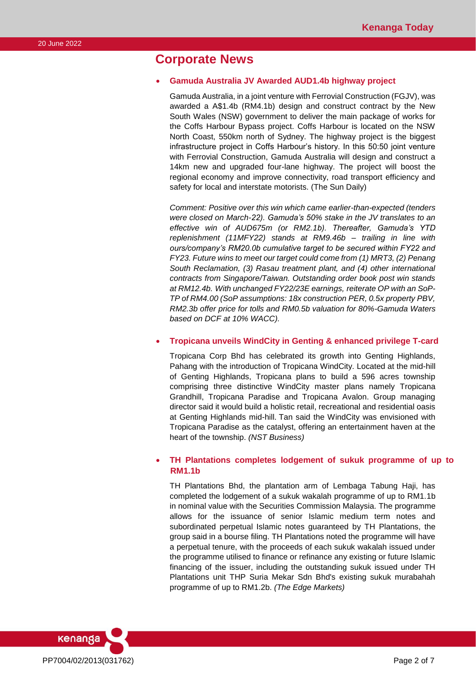# **Corporate News**

#### • **Gamuda Australia JV Awarded AUD1.4b highway project**

Gamuda Australia, in a joint venture with Ferrovial Construction (FGJV), was awarded a A\$1.4b (RM4.1b) design and construct contract by the New South Wales (NSW) government to deliver the main package of works for the Coffs Harbour Bypass project. Coffs Harbour is located on the NSW North Coast, 550km north of Sydney. The highway project is the biggest infrastructure project in Coffs Harbour's history. In this 50:50 joint venture with Ferrovial Construction, Gamuda Australia will design and construct a 14km new and upgraded four-lane highway. The project will boost the regional economy and improve connectivity, road transport efficiency and safety for local and interstate motorists. (The Sun Daily)

*Comment: Positive over this win which came earlier-than-expected (tenders were closed on March-22). Gamuda's 50% stake in the JV translates to an effective win of AUD675m (or RM2.1b). Thereafter, Gamuda's YTD replenishment (11MFY22) stands at RM9.46b – trailing in line with ours/company's RM20.0b cumulative target to be secured within FY22 and FY23. Future wins to meet our target could come from (1) MRT3, (2) Penang South Reclamation, (3) Rasau treatment plant, and (4) other international contracts from Singapore/Taiwan. Outstanding order book post win stands at RM12.4b. With unchanged FY22/23E earnings, reiterate OP with an SoP-TP of RM4.00 (SoP assumptions: 18x construction PER, 0.5x property PBV, RM2.3b offer price for tolls and RM0.5b valuation for 80%-Gamuda Waters based on DCF at 10% WACC).*

### • **Tropicana unveils WindCity in Genting & enhanced privilege T-card**

Tropicana Corp Bhd has celebrated its growth into Genting Highlands, Pahang with the introduction of Tropicana WindCity. Located at the mid-hill of Genting Highlands, Tropicana plans to build a 596 acres township comprising three distinctive WindCity master plans namely Tropicana Grandhill, Tropicana Paradise and Tropicana Avalon. Group managing director said it would build a holistic retail, recreational and residential oasis at Genting Highlands mid-hill. Tan said the WindCity was envisioned with Tropicana Paradise as the catalyst, offering an entertainment haven at the heart of the township. *(NST Business)*

### • **TH Plantations completes lodgement of sukuk programme of up to RM1.1b**

TH Plantations Bhd, the plantation arm of Lembaga Tabung Haji, has completed the lodgement of a sukuk wakalah programme of up to RM1.1b in nominal value with the Securities Commission Malaysia. The programme allows for the issuance of senior Islamic medium term notes and subordinated perpetual Islamic notes guaranteed by TH Plantations, the group said in a bourse filing. TH Plantations noted the programme will have a perpetual tenure, with the proceeds of each sukuk wakalah issued under the programme utilised to finance or refinance any existing or future Islamic financing of the issuer, including the outstanding sukuk issued under TH Plantations unit THP Suria Mekar Sdn Bhd's existing sukuk murabahah programme of up to RM1.2b. *(The Edge Markets)*

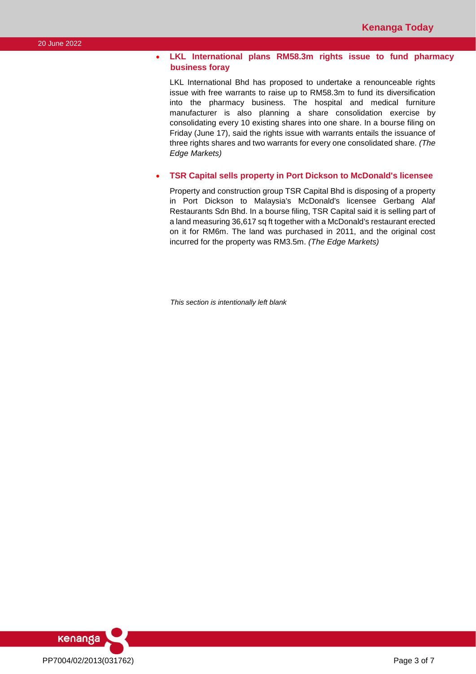### • **LKL International plans RM58.3m rights issue to fund pharmacy business foray**

LKL International Bhd has proposed to undertake a renounceable rights issue with free warrants to raise up to RM58.3m to fund its diversification into the pharmacy business. The hospital and medical furniture manufacturer is also planning a share consolidation exercise by consolidating every 10 existing shares into one share. In a bourse filing on Friday (June 17), said the rights issue with warrants entails the issuance of three rights shares and two warrants for every one consolidated share. *(The Edge Markets)*

#### • **TSR Capital sells property in Port Dickson to McDonald's licensee**

Property and construction group TSR Capital Bhd is disposing of a property in Port Dickson to Malaysia's McDonald's licensee Gerbang Alaf Restaurants Sdn Bhd. In a bourse filing, TSR Capital said it is selling part of a land measuring 36,617 sq ft together with a McDonald's restaurant erected on it for RM6m. The land was purchased in 2011, and the original cost incurred for the property was RM3.5m. *(The Edge Markets)*

*This section is intentionally left blank*

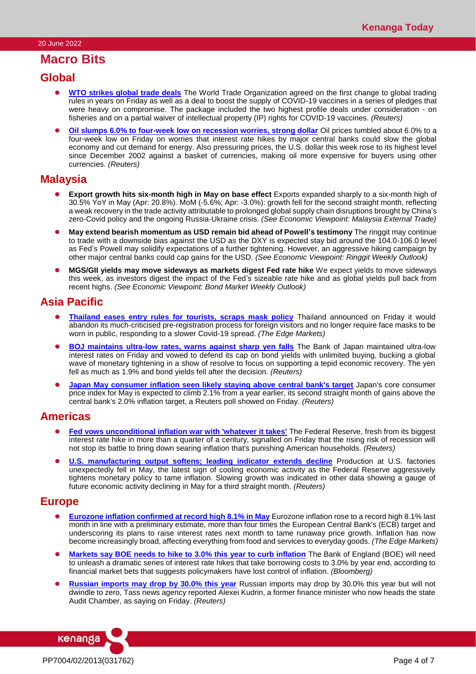## **Macro Bits**

## **Global**

- ⚫ **[WTO strikes global trade deals](https://www.reuters.com/markets/commodities/wto-chief-urges-countries-accept-unprecedented-package-trade-agreements-2022-06-17/)** The World Trade Organization agreed on the first change to global trading rules in years on Friday as well as a deal to boost the supply of COVID-19 vaccines in a series of pledges that were heavy on compromise. The package included the two highest profile deals under consideration - on fisheries and on a partial waiver of intellectual property (IP) rights for COVID-19 vaccines. *(Reuters)*
- ⚫ **[Oil slumps 6.0% to four-week low on recession worries, strong dollar](https://www.reuters.com/business/energy/oil-edges-down-demand-concerns-weigh-heading-weekly-fall-2022-06-17/)** Oil prices tumbled about 6.0% to a four-week low on Friday on worries that interest rate hikes by major central banks could slow the global economy and cut demand for energy. Also pressuring prices, the U.S. dollar this week rose to its highest level since December 2002 against a basket of currencies, making oil more expensive for buyers using other currencies. *(Reuters)*

## **Malaysia**

- ⚫ **Export growth hits six-month high in May on base effect** Exports expanded sharply to a six-month high of 30.5% YoY in May (Apr: 20.8%). MoM (-5.6%; Apr: -3.0%): growth fell for the second straight month, reflecting a weak recovery in the trade activity attributable to prolonged global supply chain disruptions brought by China's zero-Covid policy and the ongoing Russia-Ukraine crisis. *(See Economic Viewpoint: Malaysia External Trade)*
- ⚫ **May extend bearish momentum as USD remain bid ahead of Powell's testimony** The ringgit may continue to trade with a downside bias against the USD as the DXY is expected stay bid around the 104.0-106.0 level as Fed's Powell may solidify expectations of a further tightening. However, an aggressive hiking campaign by other major central banks could cap gains for the USD. *(See Economic Viewpoint: Ringgit Weekly Outlook)*
- ⚫ **MGS/GII yields may move sideways as markets digest Fed rate hike** We expect yields to move sideways this week, as investors digest the impact of the Fed's sizeable rate hike and as global yields pull back from recent highs. *(See Economic Viewpoint: Bond Market Weekly Outlook)*

# **Asia Pacific**

- ⚫ **[Thailand eases entry rules for tourists, scraps mask policy](https://www.theedgemarkets.com/article/thailand-eases-entry-rules-tourists-scraps-mask-policy)** Thailand announced on Friday it would abandon its much-criticised pre-registration process for foreign visitors and no longer require face masks to be worn in public, responding to a slower Covid-19 spread. *(The Edge Markets)*
- **[BOJ maintains ultra-low rates, warns against sharp yen falls](https://www.reuters.com/markets/currencies/boj-maintain-ultra-low-rates-sound-warning-over-weak-yen-2022-06-16/)** The Bank of Japan maintained ultra-low interest rates on Friday and vowed to defend its cap on bond yields with unlimited buying, bucking a global wave of monetary tightening in a show of resolve to focus on supporting a tepid economic recovery. The yen fell as much as 1.9% and bond yields fell after the decision. *(Reuters)*
- ⚫ **[Japan May consumer inflation seen likely staying above central bank's target](https://www.reuters.com/markets/asia/japan-may-consumer-inflation-seen-likely-staying-above-cbanks-target-2022-06-17/)** Japan's core consumer price index for May is expected to climb 2.1% from a year earlier, its second straight month of gains above the central bank's 2.0% inflation target, a Reuters poll showed on Friday. *(Reuters)*

## **Americas**

- ⚫ **[Fed vows unconditional inflation war with 'whatever it takes'](https://www.reuters.com/markets/us/feds-bullard-says-soft-landing-feasible-us-europe-2022-06-17/)** The Federal Reserve, fresh from its biggest interest rate hike in more than a quarter of a century, signalled on Friday that the rising risk of recession will not stop its battle to bring down searing inflation that's punishing American households. *(Reuters)*
- ⚫ **[U.S. manufacturing output softens; leading indicator extends decline](https://www.reuters.com/markets/us/us-manufacturing-output-slips-may-2022-06-17/)** Production at U.S. factories unexpectedly fell in May, the latest sign of cooling economic activity as the Federal Reserve aggressively tightens monetary policy to tame inflation. Slowing growth was indicated in other data showing a gauge of future economic activity declining in May for a third straight month. *(Reuters)*

## **Europe**

- **[Eurozone inflation confirmed at record high 8.1% in May](https://www.theedgemarkets.com/article/eurozone-inflation-confirmed-record-high-81-may)** Eurozone inflation rose to a record high 8.1% last month in line with a preliminary estimate, more than four times the European Central Bank's (ECB) target and underscoring its plans to raise interest rates next month to tame runaway price growth. Inflation has now become increasingly broad, affecting everything from food and services to everyday goods. *(The Edge Markets)*
- ⚫ **[Markets say BOE needs to hike to 3.0% this year to curb inflation](https://www.bloomberg.com/news/articles/2022-06-16/markets-say-boe-needs-to-hike-to-3-this-year-to-curb-inflation)** The Bank of England (BOE) will need to unleash a dramatic series of interest rate hikes that take borrowing costs to 3.0% by year end, according to financial market bets that suggests policymakers have lost control of inflation. *(Bloomberg)*
- ⚫ **[Russian imports may drop by 30.0% this year](https://www.reuters.com/markets/europe/russian-imports-may-drop-by-30-this-year-says-top-official-tass-2022-06-17/)** Russian imports may drop by 30.0% this year but will not dwindle to zero, Tass news agency reported Alexei Kudrin, a former finance minister who now heads the state Audit Chamber, as saying on Friday. *(Reuters)*

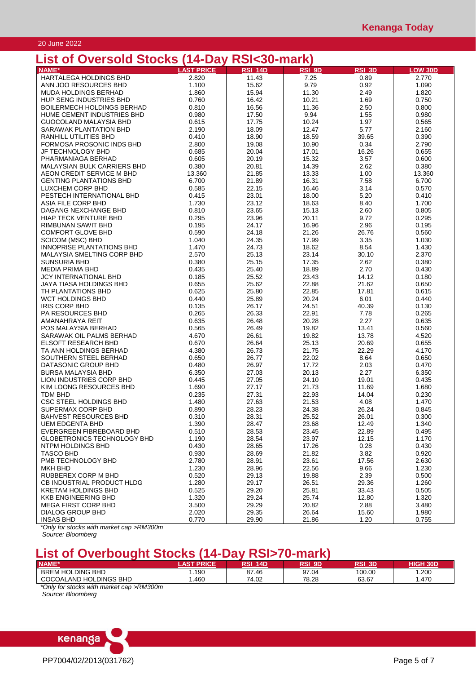#### 20 June 2022

# **List of Oversold Stocks (14-Day RSI<30-mark)**

| LIST OF OVERSORE ORDERS            | $1 - L$           | $\bf{N}$       |        |        |                |
|------------------------------------|-------------------|----------------|--------|--------|----------------|
| <b>NAME*</b>                       | <b>LAST PRICE</b> | <b>RSI 14D</b> | RSI_9D | RSI_3D | <b>LOW 30D</b> |
| <b>HARTALEGA HOLDINGS BHD</b>      | 2.820             | 11.43          | 7.25   | 0.89   | 2.770          |
| ANN JOO RESOURCES BHD              | 1.100             | 15.62          | 9.79   | 0.92   | 1.090          |
| <b>MUDA HOLDINGS BERHAD</b>        | 1.860             | 15.94          | 11.30  | 2.49   | 1.820          |
| HUP SENG INDUSTRIES BHD            | 0.760             | 16.42          | 10.21  | 1.69   | 0.750          |
| <b>BOILERMECH HOLDINGS BERHAD</b>  | 0.810             | 16.56          | 11.36  | 2.50   | 0.800          |
| HUME CEMENT INDUSTRIES BHD         | 0.980             | 17.50          | 9.94   | 1.55   | 0.980          |
| GUOCOLAND MALAYSIA BHD             | 0.615             | 17.75          | 10.24  | 1.97   | 0.565          |
| SARAWAK PLANTATION BHD             | 2.190             | 18.09          | 12.47  | 5.77   | 2.160          |
| RANHILL UTILITIES BHD              | 0.410             | 18.90          | 18.59  | 39.65  | 0.390          |
| FORMOSA PROSONIC INDS BHD          | 2.800             | 19.08          | 10.90  | 0.34   | 2.790          |
| JF TECHNOLOGY BHD                  | 0.685             | 20.04          | 17.01  | 16.26  | 0.655          |
|                                    | 0.605             |                |        |        |                |
| PHARMANIAGA BERHAD                 |                   | 20.19          | 15.32  | 3.57   | 0.600          |
| <b>MALAYSIAN BULK CARRIERS BHD</b> | 0.380             | 20.81          | 14.39  | 2.62   | 0.380          |
| AEON CREDIT SERVICE M BHD          | 13.360            | 21.85          | 13.33  | 1.00   | 13.360         |
| <b>GENTING PLANTATIONS BHD</b>     | 6.700             | 21.89          | 16.31  | 7.58   | 6.700          |
| LUXCHEM CORP BHD                   | 0.585             | 22.15          | 16.46  | 3.14   | 0.570          |
| PESTECH INTERNATIONAL BHD          | 0.415             | 23.01          | 18.00  | 5.20   | 0.410          |
| ASIA FILE CORP BHD                 | 1.730             | 23.12          | 18.63  | 8.40   | 1.700          |
| DAGANG NEXCHANGE BHD               | 0.810             | 23.65          | 15.13  | 2.60   | 0.805          |
| HIAP TECK VENTURE BHD              | 0.295             | 23.96          | 20.11  | 9.72   | 0.295          |
| <b>RIMBUNAN SAWIT BHD</b>          | 0.195             | 24.17          | 16.96  | 2.96   | 0.195          |
| <b>COMFORT GLOVE BHD</b>           | 0.590             | 24.18          | 21.26  | 26.76  | 0.560          |
| SCICOM (MSC) BHD                   | 1.040             | 24.35          | 17.99  | 3.35   | 1.030          |
| INNOPRISE PLANTATIONS BHD          | 1.470             | 24.73          | 18.62  | 8.54   | 1.430          |
| <b>MALAYSIA SMELTING CORP BHD</b>  | 2.570             | 25.13          | 23.14  | 30.10  | 2.370          |
| <b>SUNSURIA BHD</b>                | 0.380             | 25.15          | 17.35  | 2.62   | 0.380          |
| <b>MEDIA PRIMA BHD</b>             | 0.435             | 25.40          | 18.89  | 2.70   | 0.430          |
| <b>JCY INTERNATIONAL BHD</b>       | 0.185             | 25.52          | 23.43  | 14.12  | 0.180          |
| JAYA TIASA HOLDINGS BHD            | 0.655             | 25.62          | 22.88  | 21.62  | 0.650          |
| TH PLANTATIONS BHD                 | 0.625             | 25.80          | 22.85  | 17.81  | 0.615          |
| WCT HOLDINGS BHD                   | 0.440             | 25.89          | 20.24  | 6.01   | 0.440          |
|                                    |                   |                |        |        |                |
| <b>IRIS CORP BHD</b>               | 0.135             | 26.17          | 24.51  | 40.39  | 0.130          |
| PA RESOURCES BHD                   | 0.265             | 26.33          | 22.91  | 7.78   | 0.265          |
| AMANAHRAYA REIT                    | 0.635             | 26.48          | 20.28  | 2.27   | 0.635          |
| POS MALAYSIA BERHAD                | 0.565             | 26.49          | 19.82  | 13.41  | 0.560          |
| SARAWAK OIL PALMS BERHAD           | 4.670             | 26.61          | 19.82  | 13.78  | 4.520          |
| <b>ELSOFT RESEARCH BHD</b>         | 0.670             | 26.64          | 25.13  | 20.69  | 0.655          |
| TA ANN HOLDINGS BERHAD             | 4.380             | 26.73          | 21.75  | 22.29  | 4.170          |
| SOUTHERN STEEL BERHAD              | 0.650             | 26.77          | 22.02  | 8.64   | 0.650          |
| DATASONIC GROUP BHD                | 0.480             | 26.97          | 17.72  | 2.03   | 0.470          |
| <b>BURSA MALAYSIA BHD</b>          | 6.350             | 27.03          | 20.13  | 2.27   | 6.350          |
| LION INDUSTRIES CORP BHD           | 0.445             | 27.05          | 24.10  | 19.01  | 0.435          |
| KIM LOONG RESOURCES BHD            | 1.690             | 27.17          | 21.73  | 11.69  | 1.680          |
| TDM BHD                            | 0.235             | 27.31          | 22.93  | 14.04  | 0.230          |
| CSC STEEL HOLDINGS BHD             | 1.480             | 27.63          | 21.53  | 4.08   | 1.470          |
| SUPERMAX CORP BHD                  | 0.890             | 28.23          | 24.38  | 26.24  | 0.845          |
| <b>BAHVEST RESOURCES BHD</b>       | 0.310             | 28.31          | 25.52  | 26.01  | 0.300          |
| <b>UEM EDGENTA BHD</b>             | 1.390             | 28.47          | 23.68  | 12.49  | 1.340          |
| EVERGREEN FIBREBOARD BHD           | 0.510             | 28.53          | 23.45  | 22.89  | 0.495          |
| <b>GLOBETRONICS TECHNOLOGY BHD</b> | 1.190             | 28.54          | 23.97  | 12.15  | 1.170          |
| NTPM HOLDINGS BHD                  | 0.430             | 28.65          | 17.26  | 0.28   | 0.430          |
| TASCO BHD                          | 0.930             | 28.69          | 21.82  | 3.82   | 0.920          |
|                                    |                   |                |        |        |                |
| PMB TECHNOLOGY BHD                 | 2.780             | 28.91          | 23.61  | 17.56  | 2.630          |
| <b>MKH BHD</b>                     | 1.230             | 28.96          | 22.56  | 9.66   | 1.230          |
| RUBBEREX CORP M BHD                | 0.520             | 29.13          | 19.88  | 2.39   | 0.500          |
| CB INDUSTRIAL PRODUCT HLDG         | 1.280             | 29.17          | 26.51  | 29.36  | 1.260          |
| <b>KRETAM HOLDINGS BHD</b>         | 0.525             | 29.20          | 25.81  | 33.43  | 0.505          |
| <b>KKB ENGINEERING BHD</b>         | 1.320             | 29.24          | 25.74  | 12.80  | 1.320          |
| <b>MEGA FIRST CORP BHD</b>         | 3.500             | 29.29          | 20.82  | 2.88   | 3.480          |
| <b>DIALOG GROUP BHD</b>            | 2.020             | 29.35          | 26.64  | 15.60  | 1.980          |
| <b>INSAS BHD</b>                   | 0.770             | 29.90          | 21.86  | 1.20   | 0.755          |

*\*Only for stocks with market cap >RM300m*

*Source: Bloomberg*

# **List of Overbought Stocks (14-Day RSI>70-mark)**

| <b>NAME*</b>                 |      | <b>PRICE</b> | RSI<br><b>14D</b> | RSI<br>9D | RSI 3D | <b>HIGH 30D</b> |
|------------------------------|------|--------------|-------------------|-----------|--------|-----------------|
| I HOLDING BHD<br><b>BREM</b> | .190 |              | 87.46             | 97.04     | 100.00 | .200            |
| COCOALAND HOLDINGS BHD       | .460 |              | 74.02             | 78.28     | 63.67  | .470            |
|                              |      |              |                   |           |        |                 |

*\*Only for stocks with market cap >RM300m Source: Bloomberg*

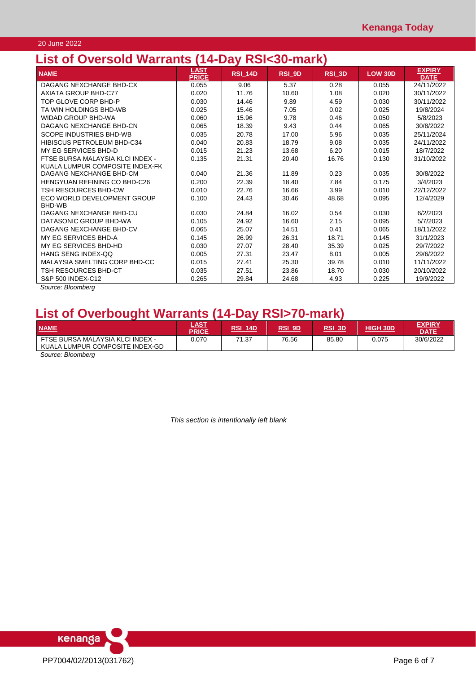20 June 2022

# **List of Oversold Warrants (14-Day RSI<30-mark)**

| <b>NAME</b>                         | LAST         | <b>RSI 14D</b> | $RSI$ 9D | <b>RSI 3D</b> | <b>LOW 30D</b> | <b>EXPIRY</b> |
|-------------------------------------|--------------|----------------|----------|---------------|----------------|---------------|
|                                     | <b>PRICE</b> |                |          |               |                | <b>DATE</b>   |
| DAGANG NEXCHANGE BHD-CX             | 0.055        | 9.06           | 5.37     | 0.28          | 0.055          | 24/11/2022    |
| <b>AXIATA GROUP BHD-C77</b>         | 0.020        | 11.76          | 10.60    | 1.08          | 0.020          | 30/11/2022    |
| TOP GLOVE CORP BHD-P                | 0.030        | 14.46          | 9.89     | 4.59          | 0.030          | 30/11/2022    |
| TA WIN HOLDINGS BHD-WB              | 0.025        | 15.46          | 7.05     | 0.02          | 0.025          | 19/8/2024     |
| <b>WIDAD GROUP BHD-WA</b>           | 0.060        | 15.96          | 9.78     | 0.46          | 0.050          | 5/8/2023      |
| DAGANG NEXCHANGE BHD-CN             | 0.065        | 18.39          | 9.43     | 0.44          | 0.065          | 30/8/2022     |
| SCOPE INDUSTRIES BHD-WB             | 0.035        | 20.78          | 17.00    | 5.96          | 0.035          | 25/11/2024    |
| HIBISCUS PETROLEUM BHD-C34          | 0.040        | 20.83          | 18.79    | 9.08          | 0.035          | 24/11/2022    |
| MY EG SERVICES BHD-D                | 0.015        | 21.23          | 13.68    | 6.20          | 0.015          | 18/7/2022     |
| FTSE BURSA MALAYSIA KLCI INDEX -    | 0.135        | 21.31          | 20.40    | 16.76         | 0.130          | 31/10/2022    |
| KUALA LUMPUR COMPOSITE INDEX-FK     |              |                |          |               |                |               |
| DAGANG NEXCHANGE BHD-CM             | 0.040        | 21.36          | 11.89    | 0.23          | 0.035          | 30/8/2022     |
| <b>HENGYUAN REFINING CO BHD-C26</b> | 0.200        | 22.39          | 18.40    | 7.84          | 0.175          | 3/4/2023      |
| <b>TSH RESOURCES BHD-CW</b>         | 0.010        | 22.76          | 16.66    | 3.99          | 0.010          | 22/12/2022    |
| ECO WORLD DEVELOPMENT GROUP         | 0.100        | 24.43          | 30.46    | 48.68         | 0.095          | 12/4/2029     |
| BHD-WB                              |              |                |          |               |                |               |
| DAGANG NEXCHANGE BHD-CU             | 0.030        | 24.84          | 16.02    | 0.54          | 0.030          | 6/2/2023      |
| DATASONIC GROUP BHD-WA              | 0.105        | 24.92          | 16.60    | 2.15          | 0.095          | 5/7/2023      |
| DAGANG NEXCHANGE BHD-CV             | 0.065        | 25.07          | 14.51    | 0.41          | 0.065          | 18/11/2022    |
| MY EG SERVICES BHD-A                | 0.145        | 26.99          | 26.31    | 18.71         | 0.145          | 31/1/2023     |
| MY EG SERVICES BHD-HD               | 0.030        | 27.07          | 28.40    | 35.39         | 0.025          | 29/7/2022     |
| HANG SENG INDEX-OO                  | 0.005        | 27.31          | 23.47    | 8.01          | 0.005          | 29/6/2022     |
| MALAYSIA SMELTING CORP BHD-CC       | 0.015        | 27.41          | 25.30    | 39.78         | 0.010          | 11/11/2022    |
| <b>TSH RESOURCES BHD-CT</b>         | 0.035        | 27.51          | 23.86    | 18.70         | 0.030          | 20/10/2022    |
| S&P 500 INDEX-C12                   | 0.265        | 29.84          | 24.68    | 4.93          | 0.225          | 19/9/2022     |

*Source: Bloomberg*

# **List of Overbought Warrants (14-Day RSI>70-mark)**

| <b>NAME</b>                                                         | <u>LAST</u><br><b>PRICE</b> | RSI<br><b>14D</b> | <b>RSI 9D</b> | RSI 3D | HIGH 30D | <b>EXPIRY</b><br><b>DATE</b> |
|---------------------------------------------------------------------|-----------------------------|-------------------|---------------|--------|----------|------------------------------|
| FTSE BURSA MALAYSIA KLCI INDEX -<br>KUALA LUMPUR COMPOSITE INDEX-GD | 0.070                       | 71.37             | 76.56         | 85.80  | 0.075    | 30/6/2022                    |
| $-$                                                                 |                             |                   |               |        |          |                              |

*Source: Bloomberg*

*This section is intentionally left blank*